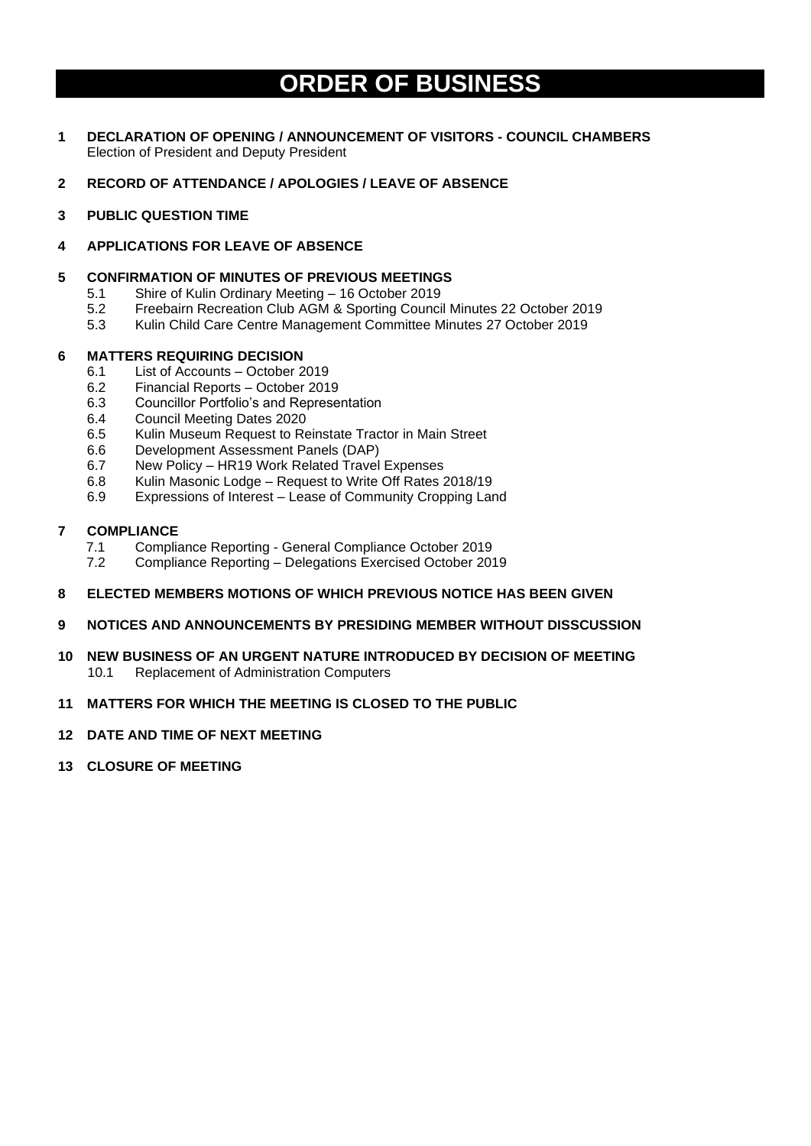# **ORDER OF BUSINESS**

- **1 DECLARATION OF OPENING / ANNOUNCEMENT OF VISITORS - COUNCIL CHAMBERS** Election of President and Deputy President
- **2 RECORD OF ATTENDANCE / APOLOGIES / LEAVE OF ABSENCE**
- **3 PUBLIC QUESTION TIME**

# **4 APPLICATIONS FOR LEAVE OF ABSENCE**

### **5 CONFIRMATION OF MINUTES OF PREVIOUS MEETINGS**

- 5.1 Shire of Kulin Ordinary Meeting 16 October 2019
- 5.2 Freebairn Recreation Club AGM & Sporting Council Minutes 22 October 2019
- 5.3 Kulin Child Care Centre Management Committee Minutes 27 October 2019

#### **6 MATTERS REQUIRING DECISION**

- 6.1 List of Accounts October 2019
- 6.2 Financial Reports October 2019
- 6.3 Councillor Portfolio's and Representation
- 6.4 Council Meeting Dates 2020
- 6.5 Kulin Museum Request to Reinstate Tractor in Main Street
- 6.6 Development Assessment Panels (DAP)
- 6.7 New Policy HR19 Work Related Travel Expenses
- 6.8 Kulin Masonic Lodge Request to Write Off Rates 2018/19
- 6.9 Expressions of Interest Lease of Community Cropping Land

# **7 COMPLIANCE**

- 7.1 Compliance Reporting General Compliance October 2019
- 7.2 Compliance Reporting Delegations Exercised October 2019

#### **8 ELECTED MEMBERS MOTIONS OF WHICH PREVIOUS NOTICE HAS BEEN GIVEN**

- **9 NOTICES AND ANNOUNCEMENTS BY PRESIDING MEMBER WITHOUT DISSCUSSION**
- **10 NEW BUSINESS OF AN URGENT NATURE INTRODUCED BY DECISION OF MEETING** 10.1 Replacement of Administration Computers

# **11 MATTERS FOR WHICH THE MEETING IS CLOSED TO THE PUBLIC**

#### **12 DATE AND TIME OF NEXT MEETING**

**13 CLOSURE OF MEETING**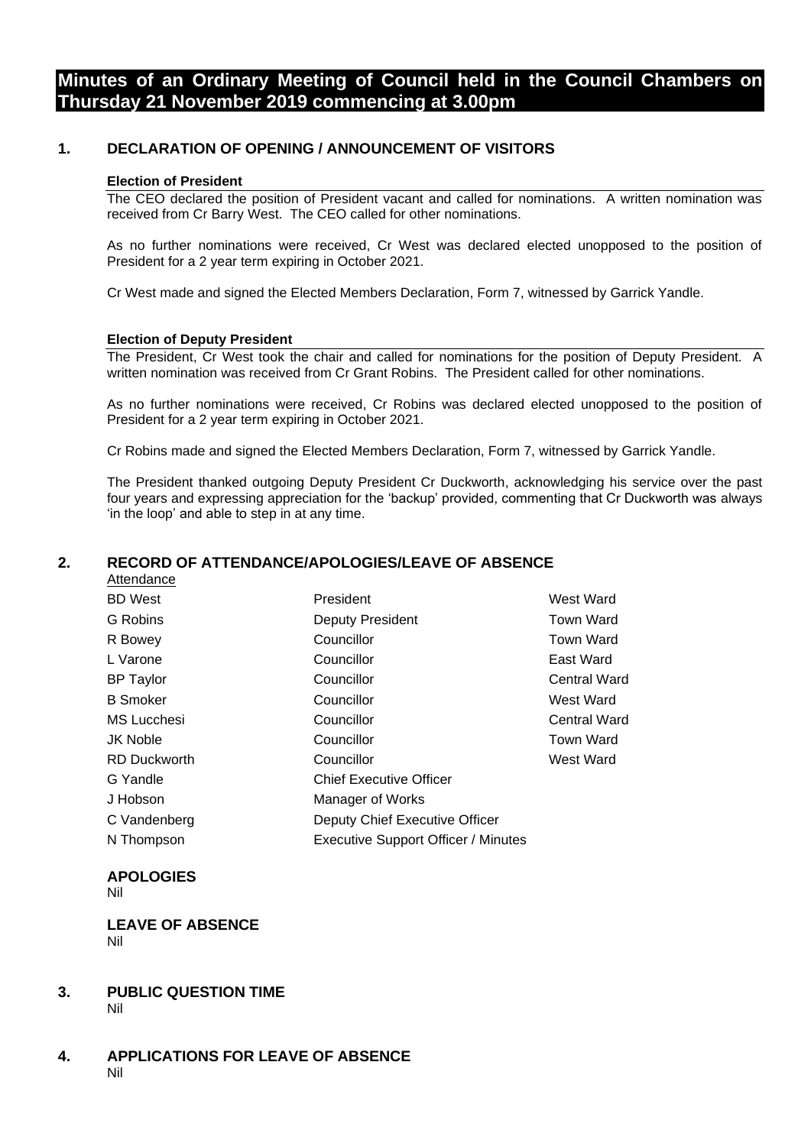# **Minutes of an Ordinary Meeting of Council held in the Council Chambers on Thursday 21 November 2019 commencing at 3.00pm**

# **1. DECLARATION OF OPENING / ANNOUNCEMENT OF VISITORS**

#### **Election of President**

The CEO declared the position of President vacant and called for nominations. A written nomination was received from Cr Barry West. The CEO called for other nominations.

As no further nominations were received, Cr West was declared elected unopposed to the position of President for a 2 year term expiring in October 2021.

Cr West made and signed the Elected Members Declaration, Form 7, witnessed by Garrick Yandle.

#### **Election of Deputy President**

The President, Cr West took the chair and called for nominations for the position of Deputy President. A written nomination was received from Cr Grant Robins. The President called for other nominations.

As no further nominations were received, Cr Robins was declared elected unopposed to the position of President for a 2 year term expiring in October 2021.

Cr Robins made and signed the Elected Members Declaration, Form 7, witnessed by Garrick Yandle.

The President thanked outgoing Deputy President Cr Duckworth, acknowledging his service over the past four years and expressing appreciation for the 'backup' provided, commenting that Cr Duckworth was always 'in the loop' and able to step in at any time.

#### **2. RECORD OF ATTENDANCE/APOLOGIES/LEAVE OF ABSENCE** Attendance

| , ,,,,,,,,,,,,,,,   |                                            |                     |
|---------------------|--------------------------------------------|---------------------|
| <b>BD</b> West      | President                                  | <b>West Ward</b>    |
| G Robins            | Deputy President                           | <b>Town Ward</b>    |
| R Bowey             | Councillor                                 | <b>Town Ward</b>    |
| L Varone            | Councillor                                 | East Ward           |
| <b>BP</b> Taylor    | Councillor                                 | <b>Central Ward</b> |
| <b>B</b> Smoker     | Councillor                                 | West Ward           |
| MS Lucchesi         | Councillor                                 | <b>Central Ward</b> |
| <b>JK Noble</b>     | Councillor                                 | <b>Town Ward</b>    |
| <b>RD Duckworth</b> | Councillor                                 | West Ward           |
| G Yandle            | <b>Chief Executive Officer</b>             |                     |
| J Hobson            | Manager of Works                           |                     |
| C Vandenberg        | Deputy Chief Executive Officer             |                     |
| N Thompson          | <b>Executive Support Officer / Minutes</b> |                     |

# **APOLOGIES**

Nil

#### **LEAVE OF ABSENCE**  Nil

#### **3. PUBLIC QUESTION TIME** Nil

**4. APPLICATIONS FOR LEAVE OF ABSENCE** Nil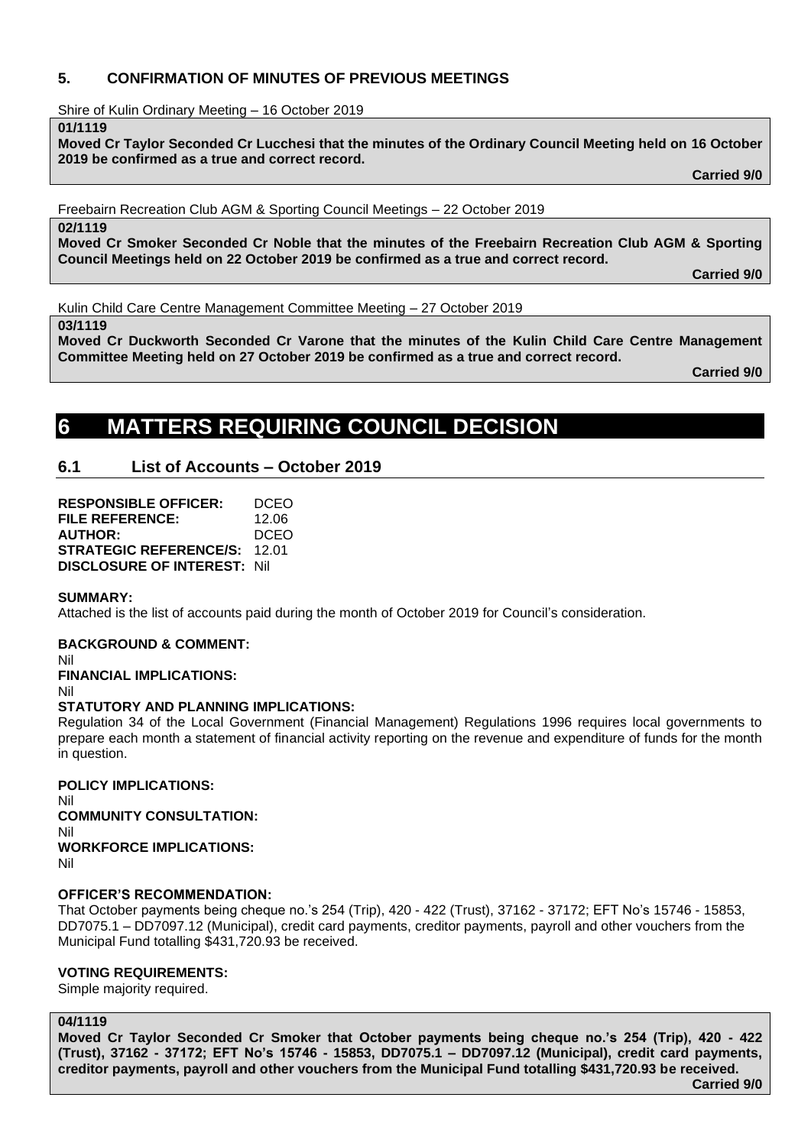# **5. CONFIRMATION OF MINUTES OF PREVIOUS MEETINGS**

Shire of Kulin Ordinary Meeting – 16 October 2019

**01/1119**

**Moved Cr Taylor Seconded Cr Lucchesi that the minutes of the Ordinary Council Meeting held on 16 October 2019 be confirmed as a true and correct record.**

**Carried 9/0**

Freebairn Recreation Club AGM & Sporting Council Meetings – 22 October 2019

**02/1119**

**Moved Cr Smoker Seconded Cr Noble that the minutes of the Freebairn Recreation Club AGM & Sporting Council Meetings held on 22 October 2019 be confirmed as a true and correct record.**

**Carried 9/0**

Kulin Child Care Centre Management Committee Meeting – 27 October 2019

**03/1119**

**Moved Cr Duckworth Seconded Cr Varone that the minutes of the Kulin Child Care Centre Management Committee Meeting held on 27 October 2019 be confirmed as a true and correct record.**

**Carried 9/0**

# **6 MATTERS REQUIRING COUNCIL DECISION**

# **6.1 List of Accounts – October 2019**

**RESPONSIBLE OFFICER:** DCEO **FILE REFERENCE:** 12.06 **AUTHOR:** DCEO **STRATEGIC REFERENCE/S:** 12.01 **DISCLOSURE OF INTEREST:** Nil

# **SUMMARY:**

Attached is the list of accounts paid during the month of October 2019 for Council's consideration.

**BACKGROUND & COMMENT:**

Nil

**FINANCIAL IMPLICATIONS:**

Nil

# **STATUTORY AND PLANNING IMPLICATIONS:**

Regulation 34 of the Local Government (Financial Management) Regulations 1996 requires local governments to prepare each month a statement of financial activity reporting on the revenue and expenditure of funds for the month in question.

**POLICY IMPLICATIONS:** Nil **COMMUNITY CONSULTATION:** Nil

**WORKFORCE IMPLICATIONS:** Nil

# **OFFICER'S RECOMMENDATION:**

That October payments being cheque no.'s 254 (Trip), 420 - 422 (Trust), 37162 - 37172; EFT No's 15746 - 15853, DD7075.1 – DD7097.12 (Municipal), credit card payments, creditor payments, payroll and other vouchers from the Municipal Fund totalling \$431,720.93 be received.

# **VOTING REQUIREMENTS:**

Simple majority required.

# **04/1119**

**Moved Cr Taylor Seconded Cr Smoker that October payments being cheque no.'s 254 (Trip), 420 - 422 (Trust), 37162 - 37172; EFT No's 15746 - 15853, DD7075.1 – DD7097.12 (Municipal), credit card payments, creditor payments, payroll and other vouchers from the Municipal Fund totalling \$431,720.93 be received.**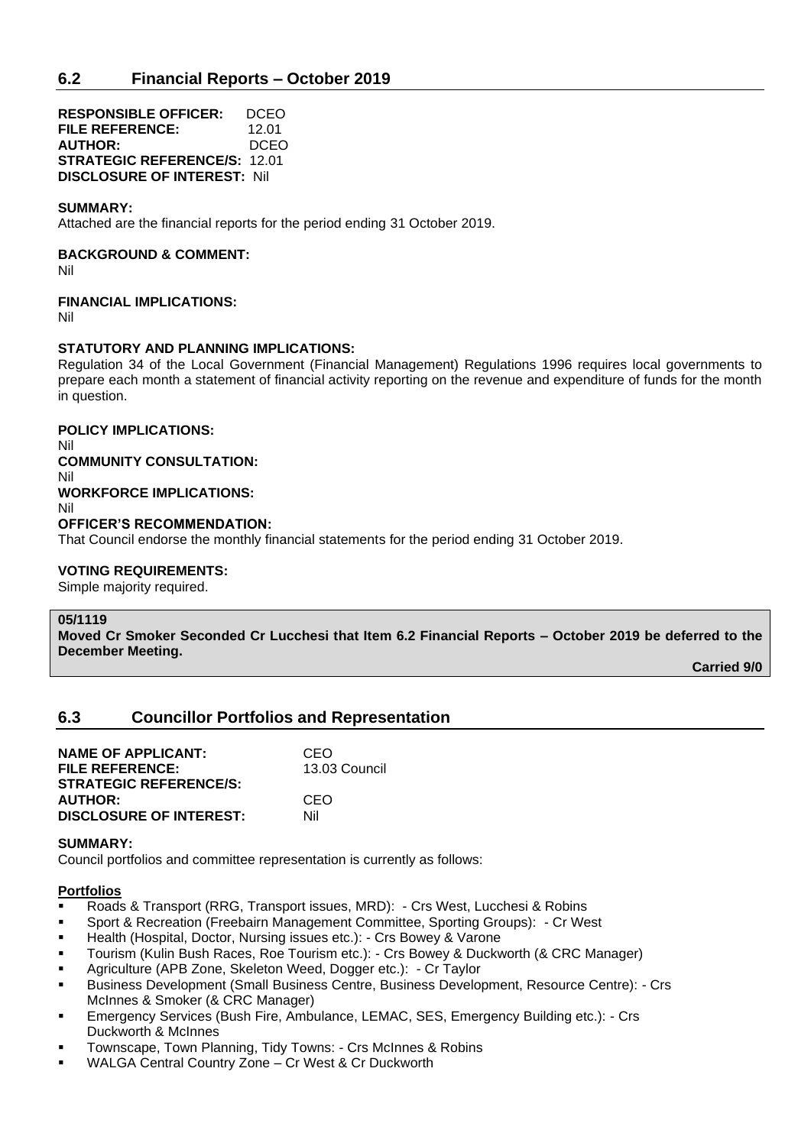**RESPONSIBLE OFFICER:** DCEO **FILE REFERENCE:** 12.01 **AUTHOR:** DCEO **STRATEGIC REFERENCE/S:** 12.01 **DISCLOSURE OF INTEREST:** Nil

#### **SUMMARY:**

Attached are the financial reports for the period ending 31 October 2019.

#### **BACKGROUND & COMMENT:**

Nil

#### **FINANCIAL IMPLICATIONS:**

Nil

#### **STATUTORY AND PLANNING IMPLICATIONS:**

Regulation 34 of the Local Government (Financial Management) Regulations 1996 requires local governments to prepare each month a statement of financial activity reporting on the revenue and expenditure of funds for the month in question.

**POLICY IMPLICATIONS:**

Nil **COMMUNITY CONSULTATION:** Nil **WORKFORCE IMPLICATIONS:** Nil **OFFICER'S RECOMMENDATION:**

That Council endorse the monthly financial statements for the period ending 31 October 2019.

#### **VOTING REQUIREMENTS:**

Simple majority required.

#### **05/1119**

**Moved Cr Smoker Seconded Cr Lucchesi that Item 6.2 Financial Reports – October 2019 be deferred to the December Meeting.**

**Carried 9/0**

# **6.3 Councillor Portfolios and Representation**

| <b>NAME OF APPLICANT:</b>      | CEO           |
|--------------------------------|---------------|
| <b>FILE REFERENCE:</b>         | 13.03 Council |
| <b>STRATEGIC REFERENCE/S:</b>  |               |
| <b>AUTHOR:</b>                 | CEO           |
| <b>DISCLOSURE OF INTEREST:</b> | Nil           |

#### **SUMMARY:**

Council portfolios and committee representation is currently as follows:

### **Portfolios**

- Roads & Transport (RRG, Transport issues, MRD): Crs West, Lucchesi & Robins
- Sport & Recreation (Freebairn Management Committee, Sporting Groups): Cr West
- Health (Hospital, Doctor, Nursing issues etc.): Crs Bowey & Varone
- Tourism (Kulin Bush Races, Roe Tourism etc.): Crs Bowey & Duckworth (& CRC Manager)
- Agriculture (APB Zone, Skeleton Weed, Dogger etc.): Cr Taylor
- Business Development (Small Business Centre, Business Development, Resource Centre): Crs McInnes & Smoker (& CRC Manager)
- Emergency Services (Bush Fire, Ambulance, LEMAC, SES, Emergency Building etc.): Crs Duckworth & McInnes
- Townscape, Town Planning, Tidy Towns: Crs McInnes & Robins
- WALGA Central Country Zone Cr West & Cr Duckworth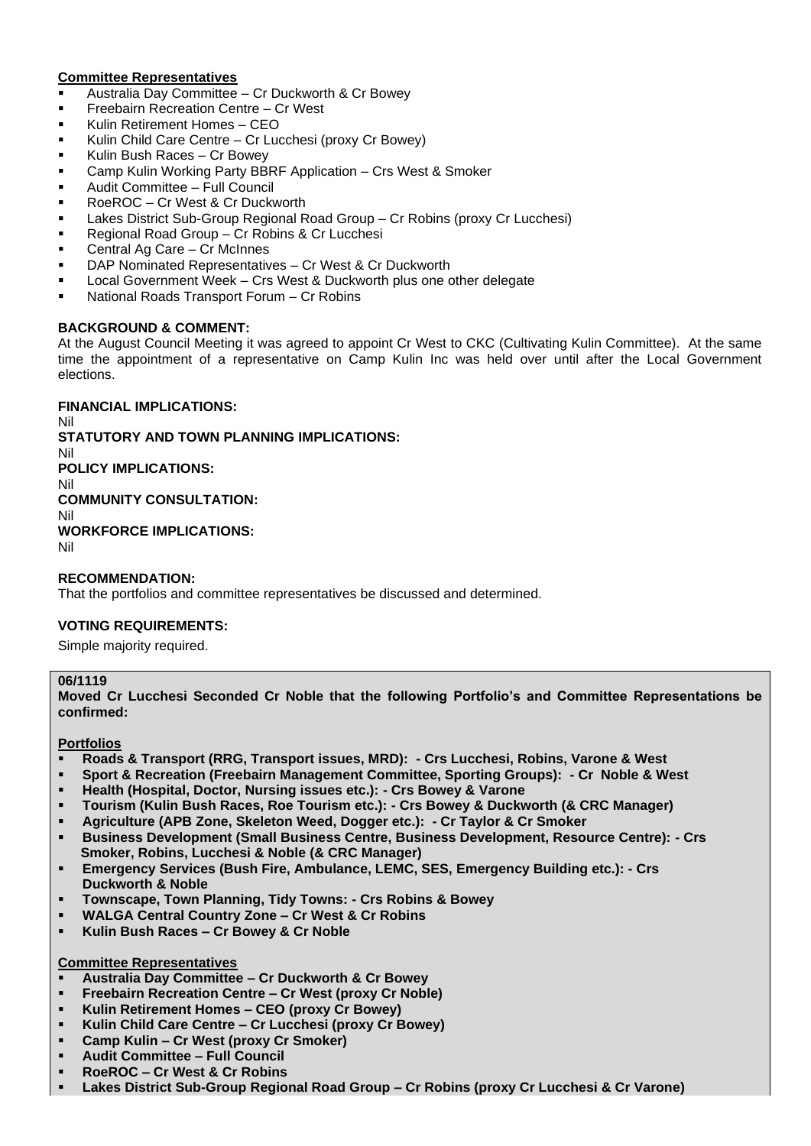# **Committee Representatives**

- Australia Day Committee Cr Duckworth & Cr Bowey
- **•** Freebairn Recreation Centre Cr West
- Kulin Retirement Homes CEO
- Kulin Child Care Centre Cr Lucchesi (proxy Cr Bowey)
- Kulin Bush Races Cr Bowey
- Camp Kulin Working Party BBRF Application Crs West & Smoker
- Audit Committee Full Council
- RoeROC Cr West & Cr Duckworth
- Lakes District Sub-Group Regional Road Group Cr Robins (proxy Cr Lucchesi)
- Regional Road Group Cr Robins & Cr Lucchesi
- Central Ag Care Cr McInnes
- DAP Nominated Representatives Cr West & Cr Duckworth
- Local Government Week Crs West & Duckworth plus one other delegate
- National Roads Transport Forum Cr Robins

#### **BACKGROUND & COMMENT:**

At the August Council Meeting it was agreed to appoint Cr West to CKC (Cultivating Kulin Committee). At the same time the appointment of a representative on Camp Kulin Inc was held over until after the Local Government elections.

**FINANCIAL IMPLICATIONS:**

Nil **STATUTORY AND TOWN PLANNING IMPLICATIONS:** Nil **POLICY IMPLICATIONS:** Nil **COMMUNITY CONSULTATION:** Nil **WORKFORCE IMPLICATIONS:** Nil

**RECOMMENDATION:**

That the portfolios and committee representatives be discussed and determined.

# **VOTING REQUIREMENTS:**

Simple majority required.

#### **06/1119**

**Moved Cr Lucchesi Seconded Cr Noble that the following Portfolio's and Committee Representations be confirmed:**

#### **Portfolios**

- **Roads & Transport (RRG, Transport issues, MRD): - Crs Lucchesi, Robins, Varone & West**
- **Sport & Recreation (Freebairn Management Committee, Sporting Groups): - Cr Noble & West**
- **Health (Hospital, Doctor, Nursing issues etc.): - Crs Bowey & Varone**
- **Tourism (Kulin Bush Races, Roe Tourism etc.): - Crs Bowey & Duckworth (& CRC Manager)**
- **Agriculture (APB Zone, Skeleton Weed, Dogger etc.): - Cr Taylor & Cr Smoker**
- **Business Development (Small Business Centre, Business Development, Resource Centre): - Crs Smoker, Robins, Lucchesi & Noble (& CRC Manager)**
- **Emergency Services (Bush Fire, Ambulance, LEMC, SES, Emergency Building etc.): - Crs Duckworth & Noble**
- **Townscape, Town Planning, Tidy Towns: - Crs Robins & Bowey**
- WALGA Central Country Zone Cr West & Cr Robins
- **Kulin Bush Races – Cr Bowey & Cr Noble**

# **Committee Representatives**

- **Australia Day Committee – Cr Duckworth & Cr Bowey**
- **Freebairn Recreation Centre – Cr West (proxy Cr Noble)**
- **Kulin Retirement Homes – CEO (proxy Cr Bowey)**
- **Kulin Child Care Centre – Cr Lucchesi (proxy Cr Bowey)**
- **Camp Kulin – Cr West (proxy Cr Smoker)**
- **Audit Committee – Full Council**
- **RoeROC – Cr West & Cr Robins**
- **Lakes District Sub-Group Regional Road Group – Cr Robins (proxy Cr Lucchesi & Cr Varone)**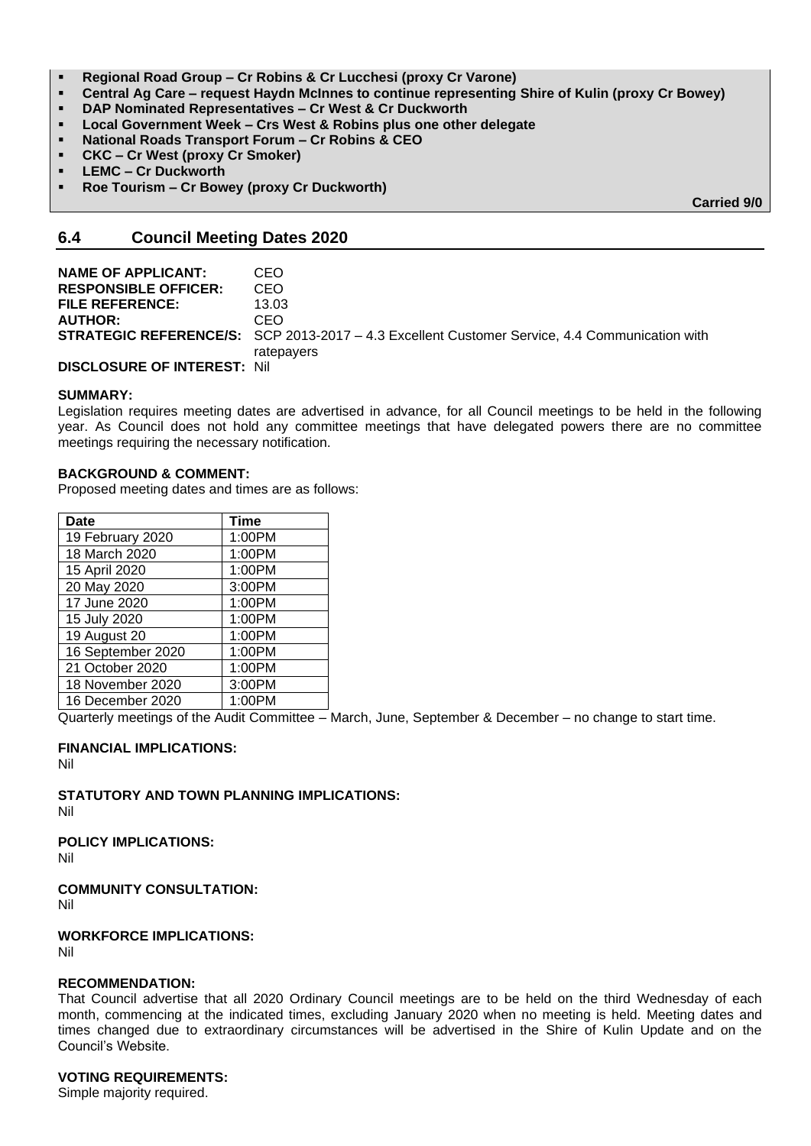- **Regional Road Group – Cr Robins & Cr Lucchesi (proxy Cr Varone)**
- **Central Ag Care – request Haydn McInnes to continue representing Shire of Kulin (proxy Cr Bowey)**
- **DAP Nominated Representatives – Cr West & Cr Duckworth**
- **Local Government Week – Crs West & Robins plus one other delegate**
- **National Roads Transport Forum – Cr Robins & CEO**
- **CKC – Cr West (proxy Cr Smoker)**
- **LEMC – Cr Duckworth**
- **Roe Tourism – Cr Bowey (proxy Cr Duckworth)**

**Carried 9/0**

# **6.4 Council Meeting Dates 2020**

| <b>NAME OF APPLICANT:</b>           | CEO.                                                                                                 |
|-------------------------------------|------------------------------------------------------------------------------------------------------|
|                                     |                                                                                                      |
| <b>RESPONSIBLE OFFICER:</b>         | CEO.                                                                                                 |
| <b>FILE REFERENCE:</b>              | 13.03                                                                                                |
| <b>AUTHOR:</b>                      | CEO.                                                                                                 |
|                                     | <b>STRATEGIC REFERENCE/S:</b> SCP 2013-2017 - 4.3 Excellent Customer Service, 4.4 Communication with |
|                                     | ratepayers                                                                                           |
| <b>DISCLOSURE OF INTEREST: Nill</b> |                                                                                                      |

#### **SUMMARY:**

Legislation requires meeting dates are advertised in advance, for all Council meetings to be held in the following year. As Council does not hold any committee meetings that have delegated powers there are no committee meetings requiring the necessary notification.

#### **BACKGROUND & COMMENT:**

Proposed meeting dates and times are as follows:

| <b>Date</b>       | <b>Time</b> |
|-------------------|-------------|
| 19 February 2020  | 1:00PM      |
| 18 March 2020     | 1:00PM      |
| 15 April 2020     | 1:00PM      |
| 20 May 2020       | 3:00PM      |
| 17 June 2020      | 1:00PM      |
| 15 July 2020      | 1:00PM      |
| 19 August 20      | 1:00PM      |
| 16 September 2020 | 1:00PM      |
| 21 October 2020   | 1:00PM      |
| 18 November 2020  | 3:00PM      |
| 16 December 2020  | 1:00PM      |

Quarterly meetings of the Audit Committee – March, June, September & December – no change to start time.

# **FINANCIAL IMPLICATIONS:**

Nil

**STATUTORY AND TOWN PLANNING IMPLICATIONS:**

Nil

**POLICY IMPLICATIONS:**

Nil

**COMMUNITY CONSULTATION:**

Nil

**WORKFORCE IMPLICATIONS:**

Nil

# **RECOMMENDATION:**

That Council advertise that all 2020 Ordinary Council meetings are to be held on the third Wednesday of each month, commencing at the indicated times, excluding January 2020 when no meeting is held. Meeting dates and times changed due to extraordinary circumstances will be advertised in the Shire of Kulin Update and on the Council's Website.

# **VOTING REQUIREMENTS:**

Simple majority required.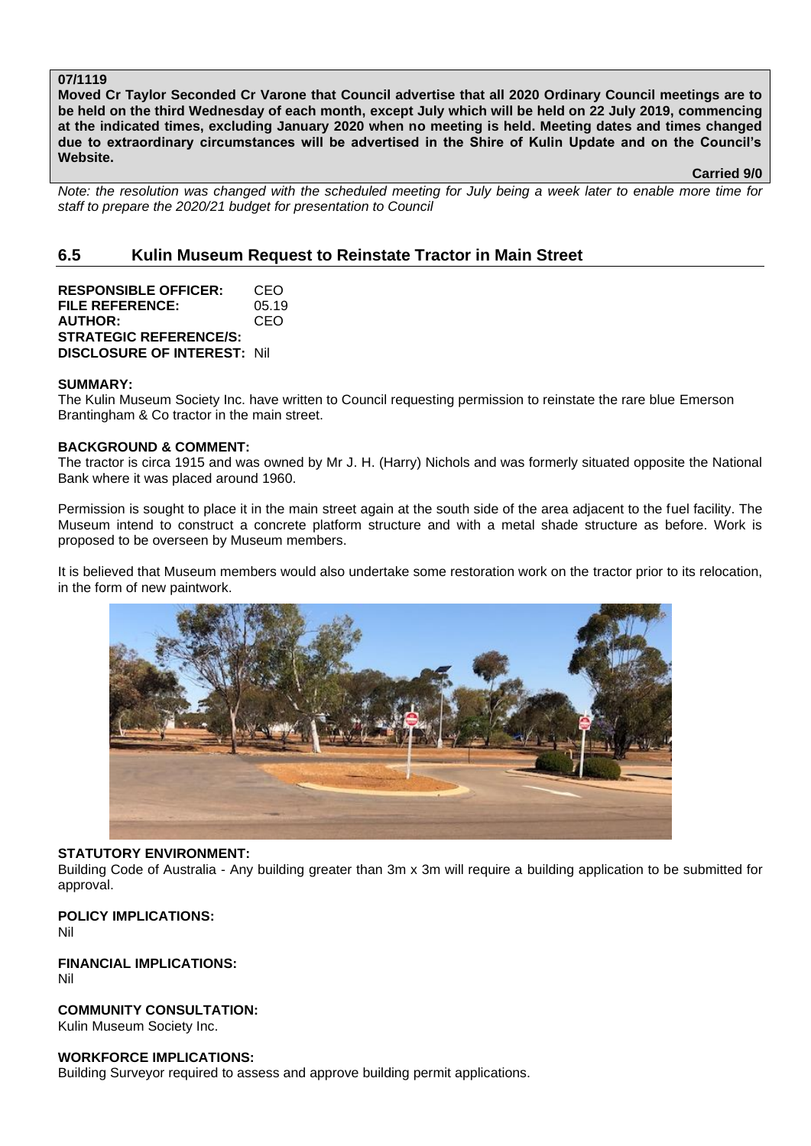### **07/1119**

**Moved Cr Taylor Seconded Cr Varone that Council advertise that all 2020 Ordinary Council meetings are to be held on the third Wednesday of each month, except July which will be held on 22 July 2019, commencing at the indicated times, excluding January 2020 when no meeting is held. Meeting dates and times changed due to extraordinary circumstances will be advertised in the Shire of Kulin Update and on the Council's Website.** 

**Carried 9/0**

*Note: the resolution was changed with the scheduled meeting for July being a week later to enable more time for staff to prepare the 2020/21 budget for presentation to Council*

# **6.5 Kulin Museum Request to Reinstate Tractor in Main Street**

**RESPONSIBLE OFFICER:** CEO **FILE REFERENCE:** 05.19 **AUTHOR:** CEO **STRATEGIC REFERENCE/S: DISCLOSURE OF INTEREST:** Nil

#### **SUMMARY:**

The Kulin Museum Society Inc. have written to Council requesting permission to reinstate the rare blue Emerson Brantingham & Co tractor in the main street.

#### **BACKGROUND & COMMENT:**

The tractor is circa 1915 and was owned by Mr J. H. (Harry) Nichols and was formerly situated opposite the National Bank where it was placed around 1960.

Permission is sought to place it in the main street again at the south side of the area adjacent to the fuel facility. The Museum intend to construct a concrete platform structure and with a metal shade structure as before. Work is proposed to be overseen by Museum members.

It is believed that Museum members would also undertake some restoration work on the tractor prior to its relocation, in the form of new paintwork.



#### **STATUTORY ENVIRONMENT:**

Building Code of Australia - Any building greater than 3m x 3m will require a building application to be submitted for approval.

#### **POLICY IMPLICATIONS:** Nil

**FINANCIAL IMPLICATIONS:** Nil

**COMMUNITY CONSULTATION:** Kulin Museum Society Inc.

#### **WORKFORCE IMPLICATIONS:**

Building Surveyor required to assess and approve building permit applications.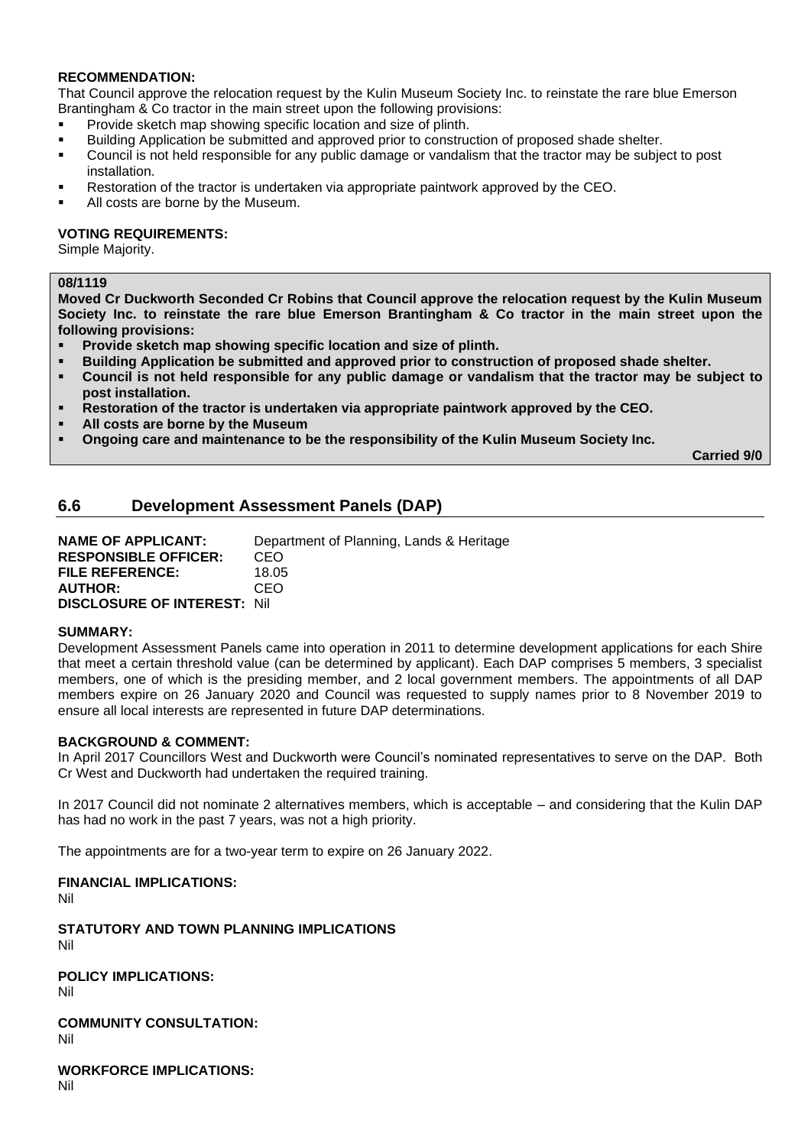# **RECOMMENDATION:**

That Council approve the relocation request by the Kulin Museum Society Inc. to reinstate the rare blue Emerson Brantingham & Co tractor in the main street upon the following provisions:

- **•** Provide sketch map showing specific location and size of plinth.
- Building Application be submitted and approved prior to construction of proposed shade shelter.
- Council is not held responsible for any public damage or vandalism that the tractor may be subject to post installation.
- Restoration of the tractor is undertaken via appropriate paintwork approved by the CEO.
- All costs are borne by the Museum.

### **VOTING REQUIREMENTS:**

Simple Majority.

# **08/1119**

**Moved Cr Duckworth Seconded Cr Robins that Council approve the relocation request by the Kulin Museum Society Inc. to reinstate the rare blue Emerson Brantingham & Co tractor in the main street upon the following provisions:**

- **Provide sketch map showing specific location and size of plinth.**
- **Building Application be submitted and approved prior to construction of proposed shade shelter.**
- **Council is not held responsible for any public damage or vandalism that the tractor may be subject to post installation.**
- **Restoration of the tractor is undertaken via appropriate paintwork approved by the CEO.**
- All costs are borne by the Museum
- **Ongoing care and maintenance to be the responsibility of the Kulin Museum Society Inc.**

**Carried 9/0**

# **6.6 Development Assessment Panels (DAP)**

**NAME OF APPLICANT:** Department of Planning, Lands & Heritage **RESPONSIBLE OFFICER:** CEO **FILE REFERENCE:** 18.05 **AUTHOR:** CEO **DISCLOSURE OF INTEREST:** Nil

#### **SUMMARY:**

Development Assessment Panels came into operation in 2011 to determine development applications for each Shire that meet a certain threshold value (can be determined by applicant). Each DAP comprises 5 members, 3 specialist members, one of which is the presiding member, and 2 local government members. The appointments of all DAP members expire on 26 January 2020 and Council was requested to supply names prior to 8 November 2019 to ensure all local interests are represented in future DAP determinations.

#### **BACKGROUND & COMMENT:**

In April 2017 Councillors West and Duckworth were Council's nominated representatives to serve on the DAP. Both Cr West and Duckworth had undertaken the required training.

In 2017 Council did not nominate 2 alternatives members, which is acceptable – and considering that the Kulin DAP has had no work in the past 7 years, was not a high priority.

The appointments are for a two-year term to expire on 26 January 2022.

#### **FINANCIAL IMPLICATIONS:**

Nil

**STATUTORY AND TOWN PLANNING IMPLICATIONS** Nil

**POLICY IMPLICATIONS:** Nil

**COMMUNITY CONSULTATION:** Nil

**WORKFORCE IMPLICATIONS:**

Nil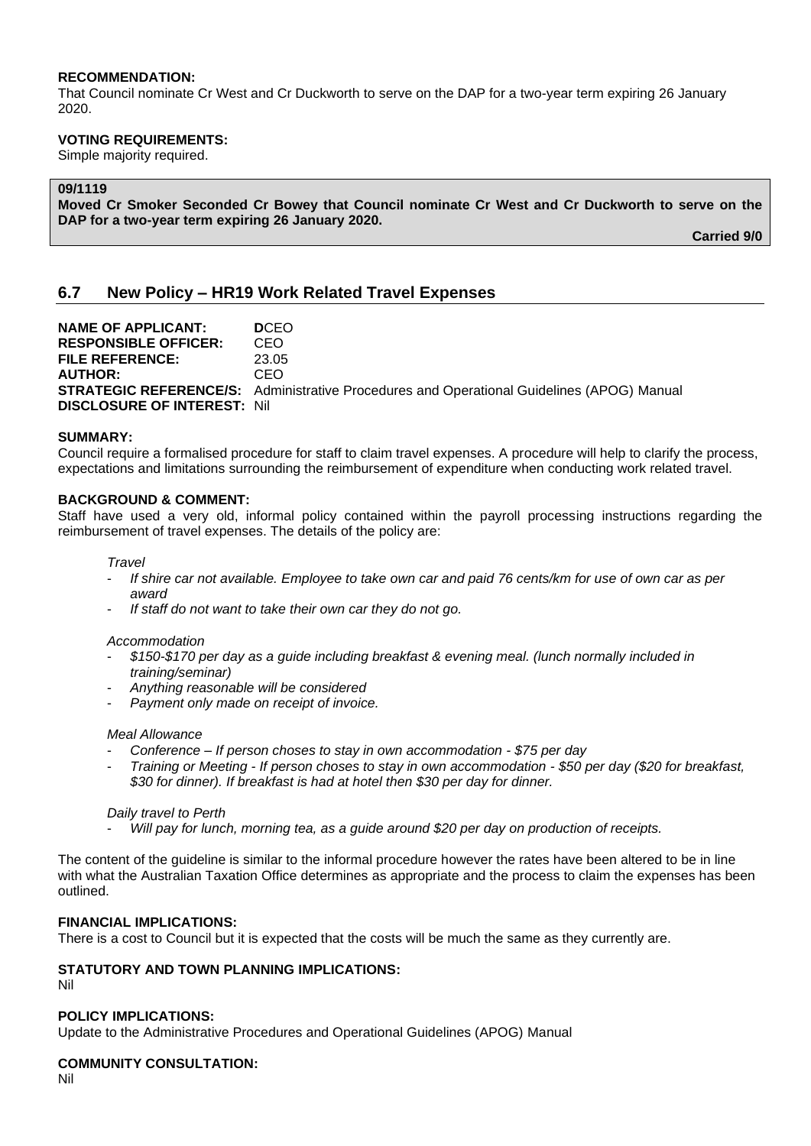#### **RECOMMENDATION:**

That Council nominate Cr West and Cr Duckworth to serve on the DAP for a two-year term expiring 26 January 2020.

### **VOTING REQUIREMENTS:**

Simple majority required.

# **09/1119**

**Moved Cr Smoker Seconded Cr Bowey that Council nominate Cr West and Cr Duckworth to serve on the DAP for a two-year term expiring 26 January 2020.**

**Carried 9/0**

# **6.7 New Policy – HR19 Work Related Travel Expenses**

**NAME OF APPLICANT: D**CEO **RESPONSIBLE OFFICER:** CEO **FILE REFERENCE:** 23.05 **AUTHOR:** CEO **STRATEGIC REFERENCE/S:** Administrative Procedures and Operational Guidelines (APOG) Manual **DISCLOSURE OF INTEREST:** Nil

#### **SUMMARY:**

Council require a formalised procedure for staff to claim travel expenses. A procedure will help to clarify the process, expectations and limitations surrounding the reimbursement of expenditure when conducting work related travel.

#### **BACKGROUND & COMMENT:**

Staff have used a very old, informal policy contained within the payroll processing instructions regarding the reimbursement of travel expenses. The details of the policy are:

#### *Travel*

- *If shire car not available. Employee to take own car and paid 76 cents/km for use of own car as per award*
- *If staff do not want to take their own car they do not go.*

#### *Accommodation*

- *\$150-\$170 per day as a guide including breakfast & evening meal. (lunch normally included in training/seminar)*
- *Anything reasonable will be considered*
- *Payment only made on receipt of invoice.*

#### *Meal Allowance*

- *Conference – If person choses to stay in own accommodation - \$75 per day*
- *Training or Meeting - If person choses to stay in own accommodation - \$50 per day (\$20 for breakfast, \$30 for dinner). If breakfast is had at hotel then \$30 per day for dinner.*

#### *Daily travel to Perth*

- *Will pay for lunch, morning tea, as a guide around \$20 per day on production of receipts.*

The content of the guideline is similar to the informal procedure however the rates have been altered to be in line with what the Australian Taxation Office determines as appropriate and the process to claim the expenses has been outlined.

#### **FINANCIAL IMPLICATIONS:**

There is a cost to Council but it is expected that the costs will be much the same as they currently are.

#### **STATUTORY AND TOWN PLANNING IMPLICATIONS:**

Nil

# **POLICY IMPLICATIONS:**

Update to the Administrative Procedures and Operational Guidelines (APOG) Manual

# **COMMUNITY CONSULTATION:**

Nil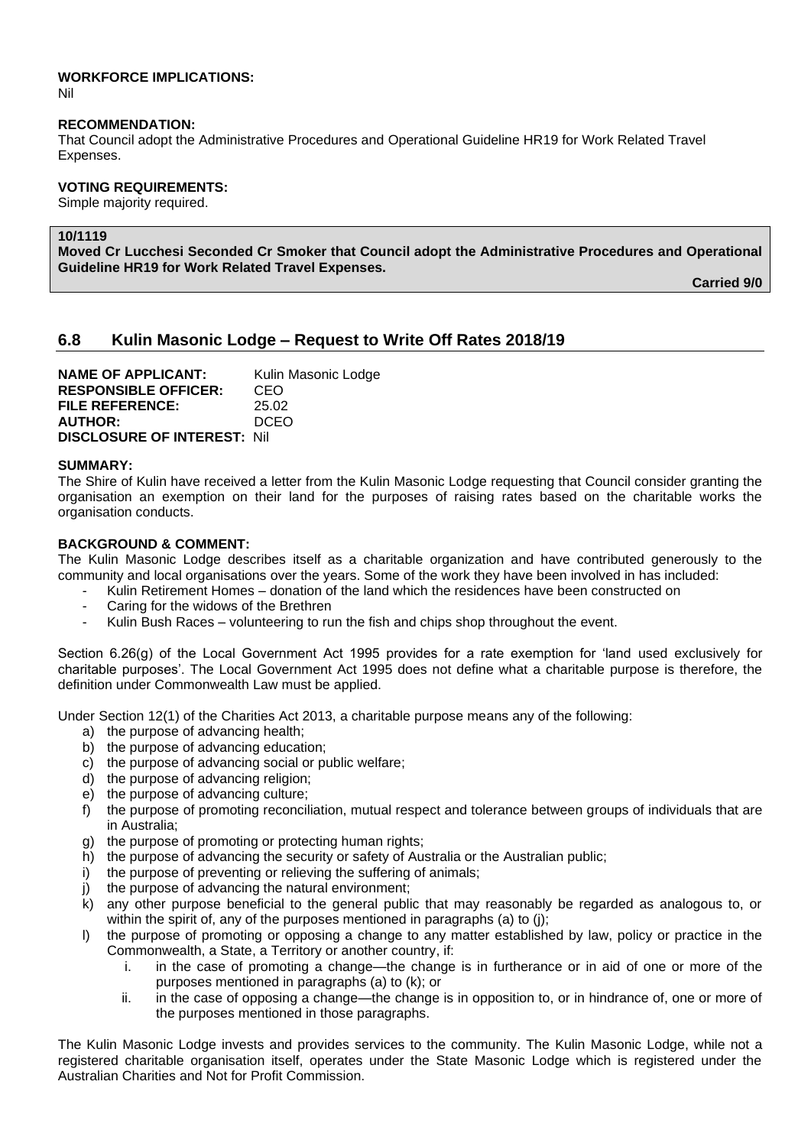# **WORKFORCE IMPLICATIONS:**

Nil

#### **RECOMMENDATION:**

That Council adopt the Administrative Procedures and Operational Guideline HR19 for Work Related Travel Expenses.

# **VOTING REQUIREMENTS:**

Simple majority required.

# **10/1119**

**Moved Cr Lucchesi Seconded Cr Smoker that Council adopt the Administrative Procedures and Operational Guideline HR19 for Work Related Travel Expenses.**

**Carried 9/0**

# **6.8 Kulin Masonic Lodge – Request to Write Off Rates 2018/19**

**NAME OF APPLICANT:** Kulin Masonic Lodge **RESPONSIBLE OFFICER:** CEO **FILE REFERENCE:** 25.02 **AUTHOR:** DCEO **DISCLOSURE OF INTEREST:** Nil

#### **SUMMARY:**

The Shire of Kulin have received a letter from the Kulin Masonic Lodge requesting that Council consider granting the organisation an exemption on their land for the purposes of raising rates based on the charitable works the organisation conducts.

# **BACKGROUND & COMMENT:**

The Kulin Masonic Lodge describes itself as a charitable organization and have contributed generously to the community and local organisations over the years. Some of the work they have been involved in has included:

- Kulin Retirement Homes donation of the land which the residences have been constructed on
- Caring for the widows of the Brethren
- Kulin Bush Races volunteering to run the fish and chips shop throughout the event.

Section 6.26(g) of the Local Government Act 1995 provides for a rate exemption for 'land used exclusively for charitable purposes'. The Local Government Act 1995 does not define what a charitable purpose is therefore, the definition under Commonwealth Law must be applied.

Under Section 12(1) of the Charities Act 2013, a charitable purpose means any of the following:

- a) the purpose of advancing health;
- b) the purpose of advancing education;
- c) the purpose of advancing social or public welfare;
- d) the purpose of advancing religion;
- e) the purpose of advancing culture;
- f) the purpose of promoting reconciliation, mutual respect and tolerance between groups of individuals that are in Australia;
- g) the purpose of promoting or protecting human rights:
- h) the purpose of advancing the security or safety of Australia or the Australian public;
- i) the purpose of preventing or relieving the suffering of animals;
- j) the purpose of advancing the natural environment;
- $\hat{k}$ ) any other purpose beneficial to the general public that may reasonably be regarded as analogous to, or within the spirit of, any of the purposes mentioned in paragraphs (a) to (i);
- l) the purpose of promoting or opposing a change to any matter established by law, policy or practice in the Commonwealth, a State, a Territory or another country, if:
	- i. in the case of promoting a change—the change is in furtherance or in aid of one or more of the purposes mentioned in paragraphs (a) to (k); or
	- ii. in the case of opposing a change—the change is in opposition to, or in hindrance of, one or more of the purposes mentioned in those paragraphs.

The Kulin Masonic Lodge invests and provides services to the community. The Kulin Masonic Lodge, while not a registered charitable organisation itself, operates under the State Masonic Lodge which is registered under the Australian Charities and Not for Profit Commission.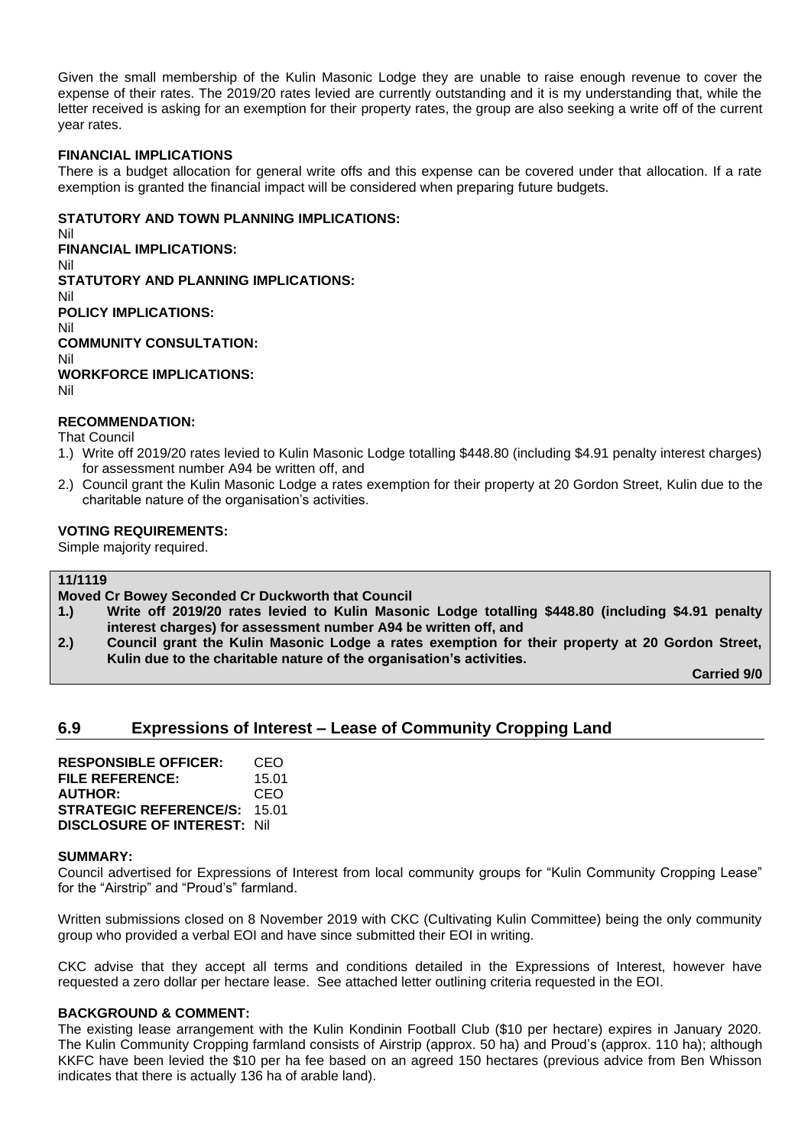Given the small membership of the Kulin Masonic Lodge they are unable to raise enough revenue to cover the expense of their rates. The 2019/20 rates levied are currently outstanding and it is my understanding that, while the letter received is asking for an exemption for their property rates, the group are also seeking a write off of the current year rates.

#### **FINANCIAL IMPLICATIONS**

There is a budget allocation for general write offs and this expense can be covered under that allocation. If a rate exemption is granted the financial impact will be considered when preparing future budgets.

### **STATUTORY AND TOWN PLANNING IMPLICATIONS:**

Nil **FINANCIAL IMPLICATIONS:** Nil **STATUTORY AND PLANNING IMPLICATIONS:**  Nil **POLICY IMPLICATIONS:** Nil **COMMUNITY CONSULTATION:** Nil **WORKFORCE IMPLICATIONS:** Nil

#### **RECOMMENDATION:**

That Council

- 1.) Write off 2019/20 rates levied to Kulin Masonic Lodge totalling \$448.80 (including \$4.91 penalty interest charges) for assessment number A94 be written off, and
- 2.) Council grant the Kulin Masonic Lodge a rates exemption for their property at 20 Gordon Street, Kulin due to the charitable nature of the organisation's activities.

#### **VOTING REQUIREMENTS:**

Simple majority required.

#### **11/1119**

- **Moved Cr Bowey Seconded Cr Duckworth that Council**
- **1.) Write off 2019/20 rates levied to Kulin Masonic Lodge totalling \$448.80 (including \$4.91 penalty interest charges) for assessment number A94 be written off, and**
- **2.) Council grant the Kulin Masonic Lodge a rates exemption for their property at 20 Gordon Street, Kulin due to the charitable nature of the organisation's activities.**

**Carried 9/0**

# **6.9 Expressions of Interest – Lease of Community Cropping Land**

**RESPONSIBLE OFFICER:** CEO **FILE REFERENCE:** 15.01 **AUTHOR:** CEO **STRATEGIC REFERENCE/S:** 15.01 **DISCLOSURE OF INTEREST:** Nil

#### **SUMMARY:**

Council advertised for Expressions of Interest from local community groups for "Kulin Community Cropping Lease" for the "Airstrip" and "Proud's" farmland.

Written submissions closed on 8 November 2019 with CKC (Cultivating Kulin Committee) being the only community group who provided a verbal EOI and have since submitted their EOI in writing.

CKC advise that they accept all terms and conditions detailed in the Expressions of Interest, however have requested a zero dollar per hectare lease. See attached letter outlining criteria requested in the EOI.

#### **BACKGROUND & COMMENT:**

The existing lease arrangement with the Kulin Kondinin Football Club (\$10 per hectare) expires in January 2020. The Kulin Community Cropping farmland consists of Airstrip (approx. 50 ha) and Proud's (approx. 110 ha); although KKFC have been levied the \$10 per ha fee based on an agreed 150 hectares (previous advice from Ben Whisson indicates that there is actually 136 ha of arable land).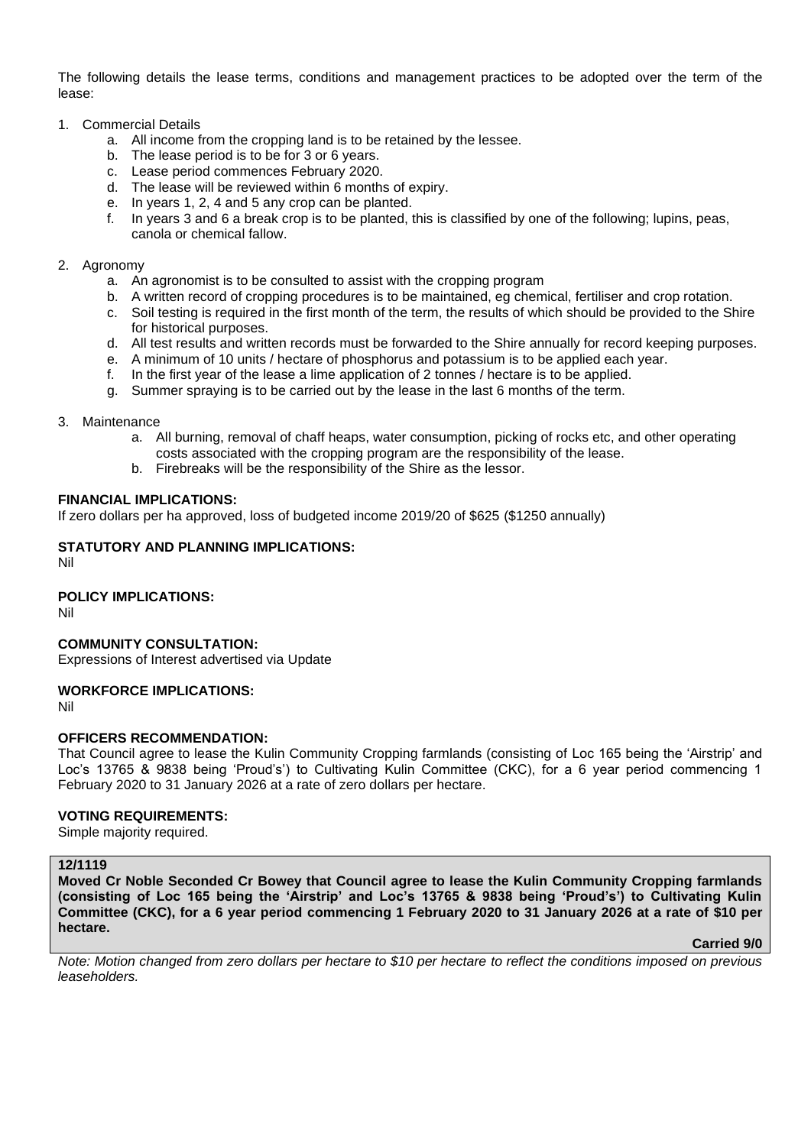The following details the lease terms, conditions and management practices to be adopted over the term of the lease:

- 1. Commercial Details
	- a. All income from the cropping land is to be retained by the lessee.
	- b. The lease period is to be for 3 or 6 years.
	- c. Lease period commences February 2020.
	- d. The lease will be reviewed within 6 months of expiry.
	- e. In years 1, 2, 4 and 5 any crop can be planted.
	- f. In years 3 and 6 a break crop is to be planted, this is classified by one of the following; lupins, peas, canola or chemical fallow.

#### 2. Agronomy

- a. An agronomist is to be consulted to assist with the cropping program
- b. A written record of cropping procedures is to be maintained, eg chemical, fertiliser and crop rotation.
- c. Soil testing is required in the first month of the term, the results of which should be provided to the Shire for historical purposes.
- d. All test results and written records must be forwarded to the Shire annually for record keeping purposes.
- e. A minimum of 10 units / hectare of phosphorus and potassium is to be applied each year.
- f. In the first year of the lease a lime application of 2 tonnes / hectare is to be applied.
- g. Summer spraying is to be carried out by the lease in the last 6 months of the term.

#### 3. Maintenance

- a. All burning, removal of chaff heaps, water consumption, picking of rocks etc, and other operating costs associated with the cropping program are the responsibility of the lease.
- b. Firebreaks will be the responsibility of the Shire as the lessor.

#### **FINANCIAL IMPLICATIONS:**

If zero dollars per ha approved, loss of budgeted income 2019/20 of \$625 (\$1250 annually)

# **STATUTORY AND PLANNING IMPLICATIONS:**

Nil

# **POLICY IMPLICATIONS:**

Nil

**COMMUNITY CONSULTATION:** Expressions of Interest advertised via Update

# **WORKFORCE IMPLICATIONS:**

Nil

# **OFFICERS RECOMMENDATION:**

That Council agree to lease the Kulin Community Cropping farmlands (consisting of Loc 165 being the 'Airstrip' and Loc's 13765 & 9838 being 'Proud's') to Cultivating Kulin Committee (CKC), for a 6 year period commencing 1 February 2020 to 31 January 2026 at a rate of zero dollars per hectare.

# **VOTING REQUIREMENTS:**

Simple majority required.

# **12/1119**

**Moved Cr Noble Seconded Cr Bowey that Council agree to lease the Kulin Community Cropping farmlands (consisting of Loc 165 being the 'Airstrip' and Loc's 13765 & 9838 being 'Proud's') to Cultivating Kulin Committee (CKC), for a 6 year period commencing 1 February 2020 to 31 January 2026 at a rate of \$10 per hectare.**

#### **Carried 9/0**

*Note: Motion changed from zero dollars per hectare to \$10 per hectare to reflect the conditions imposed on previous leaseholders.*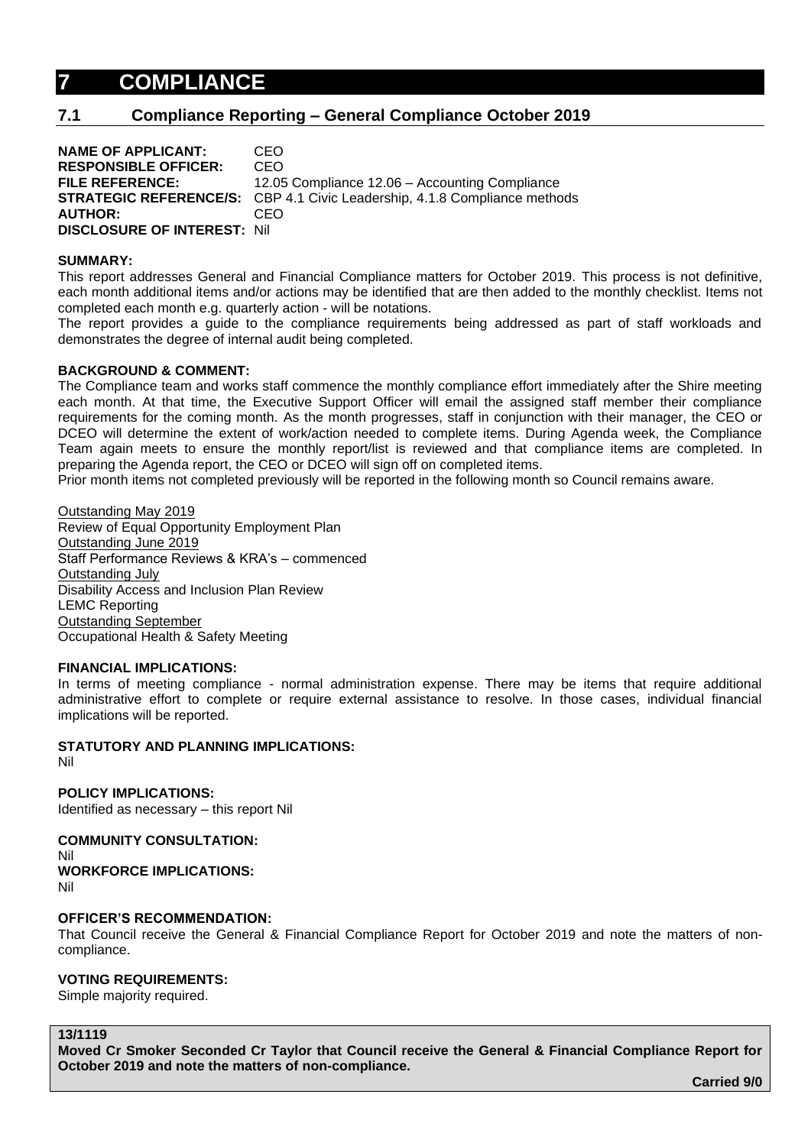# **7 COMPLIANCE**

# **7.1 Compliance Reporting – General Compliance October 2019**

**NAME OF APPLICANT:** CEO **RESPONSIBLE OFFICER:** CEO **FILE REFERENCE:** 12.05 Compliance 12.06 – Accounting Compliance **STRATEGIC REFERENCE/S:** CBP 4.1 Civic Leadership, 4.1.8 Compliance methods **AUTHOR:** CEO **DISCLOSURE OF INTEREST:** Nil

#### **SUMMARY:**

This report addresses General and Financial Compliance matters for October 2019. This process is not definitive, each month additional items and/or actions may be identified that are then added to the monthly checklist. Items not completed each month e.g. quarterly action - will be notations.

The report provides a guide to the compliance requirements being addressed as part of staff workloads and demonstrates the degree of internal audit being completed.

#### **BACKGROUND & COMMENT:**

The Compliance team and works staff commence the monthly compliance effort immediately after the Shire meeting each month. At that time, the Executive Support Officer will email the assigned staff member their compliance requirements for the coming month. As the month progresses, staff in conjunction with their manager, the CEO or DCEO will determine the extent of work/action needed to complete items. During Agenda week, the Compliance Team again meets to ensure the monthly report/list is reviewed and that compliance items are completed. In preparing the Agenda report, the CEO or DCEO will sign off on completed items.

Prior month items not completed previously will be reported in the following month so Council remains aware.

Outstanding May 2019 Review of Equal Opportunity Employment Plan Outstanding June 2019 Staff Performance Reviews & KRA's – commenced Outstanding July Disability Access and Inclusion Plan Review LEMC Reporting Outstanding September Occupational Health & Safety Meeting

#### **FINANCIAL IMPLICATIONS:**

In terms of meeting compliance - normal administration expense. There may be items that require additional administrative effort to complete or require external assistance to resolve. In those cases, individual financial implications will be reported.

#### **STATUTORY AND PLANNING IMPLICATIONS:**

Nil

**POLICY IMPLICATIONS:** Identified as necessary – this report Nil

**COMMUNITY CONSULTATION:** Nil **WORKFORCE IMPLICATIONS:** Nil

#### **OFFICER'S RECOMMENDATION:**

That Council receive the General & Financial Compliance Report for October 2019 and note the matters of noncompliance.

#### **VOTING REQUIREMENTS:**

Simple majority required.

**13/1119**

**Moved Cr Smoker Seconded Cr Taylor that Council receive the General & Financial Compliance Report for October 2019 and note the matters of non-compliance.**

**Carried 9/0**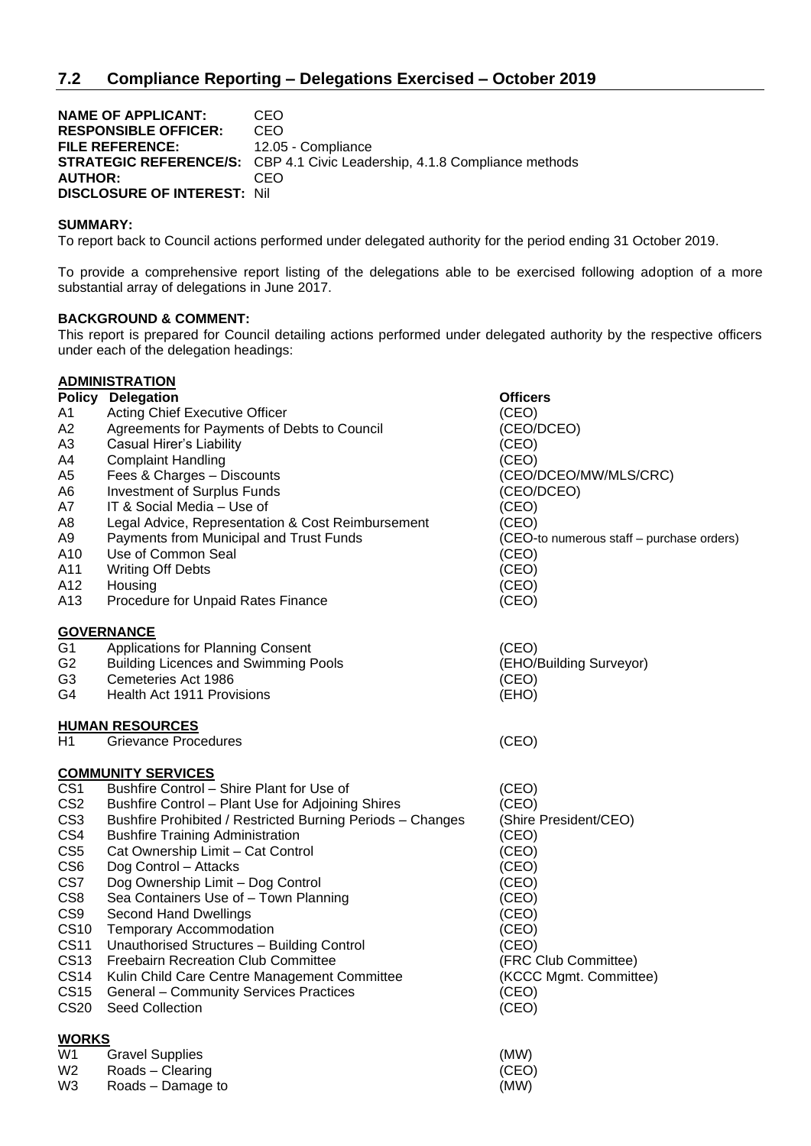**NAME OF APPLICANT: CEO<br>RESPONSIBLE OFFICER: CEO RESPONSIBLE OFFICER:** FILE REFERENCE: 12.05 - Compliance **STRATEGIC REFERENCE/S:** CBP 4.1 Civic Leadership, 4.1.8 Compliance methods **AUTHOR:** CEO **DISCLOSURE OF INTEREST:** Nil

### **SUMMARY:**

To report back to Council actions performed under delegated authority for the period ending 31 October 2019.

To provide a comprehensive report listing of the delegations able to be exercised following adoption of a more substantial array of delegations in June 2017.

#### **BACKGROUND & COMMENT:**

This report is prepared for Council detailing actions performed under delegated authority by the respective officers under each of the delegation headings:

|                 | <b>ADMINISTRATION</b>                                      |                                           |
|-----------------|------------------------------------------------------------|-------------------------------------------|
| <b>Policy</b>   | <b>Delegation</b>                                          | <b>Officers</b>                           |
| Α1              | Acting Chief Executive Officer                             | (CEO)                                     |
| A2              | Agreements for Payments of Debts to Council                | (CEO/DCEO)                                |
| A3              | Casual Hirer's Liability                                   | (CEO)                                     |
| A4              | <b>Complaint Handling</b>                                  | (CEO)                                     |
| A5              | Fees & Charges - Discounts                                 | (CEO/DCEO/MW/MLS/CRC)                     |
| A6              | <b>Investment of Surplus Funds</b>                         | (CEO/DCEO)                                |
| A7              | IT & Social Media - Use of                                 | (CEO)                                     |
| A8              | Legal Advice, Representation & Cost Reimbursement          | (CEO)                                     |
| А9              | Payments from Municipal and Trust Funds                    | (CEO-to numerous staff - purchase orders) |
| A10             | Use of Common Seal                                         | (CEO)                                     |
| A11             | <b>Writing Off Debts</b>                                   | (CEO)                                     |
| A12             | Housing                                                    | (CEO)                                     |
| A13             | Procedure for Unpaid Rates Finance                         | (CEO)                                     |
|                 | <b>GOVERNANCE</b>                                          |                                           |
| G <sub>1</sub>  | Applications for Planning Consent                          | (CEO)                                     |
| G <sub>2</sub>  | <b>Building Licences and Swimming Pools</b>                | (EHO/Building Surveyor)                   |
| G <sub>3</sub>  | Cemeteries Act 1986                                        | (CEO)                                     |
| G4              | Health Act 1911 Provisions                                 | (EHO)                                     |
|                 | <b>HUMAN RESOURCES</b>                                     |                                           |
| H1              | Grievance Procedures                                       | (CEO)                                     |
|                 | <b>COMMUNITY SERVICES</b>                                  |                                           |
| CS <sub>1</sub> | Bushfire Control - Shire Plant for Use of                  | (CEO)                                     |
| CS <sub>2</sub> | Bushfire Control - Plant Use for Adjoining Shires          | (CEO)                                     |
| CS <sub>3</sub> | Bushfire Prohibited / Restricted Burning Periods - Changes | (Shire President/CEO)                     |
| CS4             | <b>Bushfire Training Administration</b>                    | (CEO)                                     |
| CS <sub>5</sub> | Cat Ownership Limit - Cat Control                          | (CEO)                                     |
| CS <sub>6</sub> | Dog Control - Attacks                                      | (CEO)                                     |
| CS7             | Dog Ownership Limit - Dog Control                          | (CEO)                                     |
| CS8             | Sea Containers Use of - Town Planning                      | (CEO)                                     |
| CS <sub>9</sub> | <b>Second Hand Dwellings</b>                               | (CEO)                                     |
| <b>CS10</b>     | <b>Temporary Accommodation</b>                             | (CEO)                                     |
| <b>CS11</b>     | Unauthorised Structures - Building Control                 | (CEO)                                     |
| <b>CS13</b>     | Freebairn Recreation Club Committee                        | (FRC Club Committee)                      |
| <b>CS14</b>     | Kulin Child Care Centre Management Committee               | (KCCC Mgmt. Committee)                    |
| <b>CS15</b>     | <b>General - Community Services Practices</b>              | (CEO)                                     |
| <b>CS20</b>     | Seed Collection                                            | (CEO)                                     |
| <b>WORKS</b>    |                                                            |                                           |
| W1              | <b>Gravel Supplies</b>                                     | (MW)                                      |
| W2              | Roads - Clearing                                           | (CEO)                                     |

W3 Roads – Damage to (MW)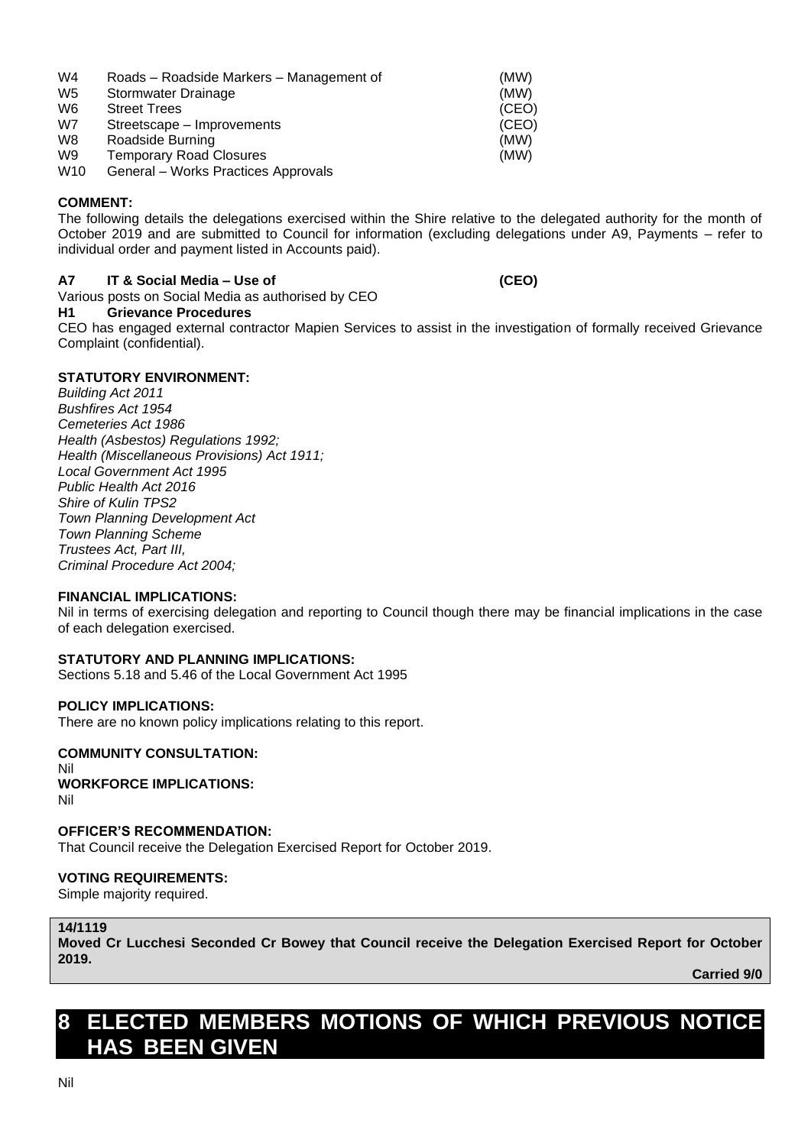| W <sub>4</sub>  | Roads - Roadside Markers - Management of | (MW)  |
|-----------------|------------------------------------------|-------|
| W <sub>5</sub>  | Stormwater Drainage                      | (MW)  |
| W <sub>6</sub>  | <b>Street Trees</b>                      | (CEO) |
| W7              | Streetscape – Improvements               | (CEO) |
| W <sub>8</sub>  | Roadside Burning                         | (MW)  |
| W <sub>9</sub>  | <b>Temporary Road Closures</b>           | (MW)  |
| W <sub>10</sub> | General - Works Practices Approvals      |       |

# **COMMENT:**

The following details the delegations exercised within the Shire relative to the delegated authority for the month of October 2019 and are submitted to Council for information (excluding delegations under A9, Payments – refer to individual order and payment listed in Accounts paid).

# **A7 IT & Social Media – Use of (CEO)**

# Various posts on Social Media as authorised by CEO

#### **H1 Grievance Procedures**

CEO has engaged external contractor Mapien Services to assist in the investigation of formally received Grievance Complaint (confidential).

# **STATUTORY ENVIRONMENT:**

*Building Act 2011 Bushfires Act 1954 Cemeteries Act 1986 Health (Asbestos) Regulations 1992; Health (Miscellaneous Provisions) Act 1911; Local Government Act 1995 Public Health Act 2016 Shire of Kulin TPS2 Town Planning Development Act Town Planning Scheme Trustees Act, Part III, Criminal Procedure Act 2004;*

#### **FINANCIAL IMPLICATIONS:**

Nil in terms of exercising delegation and reporting to Council though there may be financial implications in the case of each delegation exercised.

# **STATUTORY AND PLANNING IMPLICATIONS:**

Sections 5.18 and 5.46 of the Local Government Act 1995

#### **POLICY IMPLICATIONS:**

There are no known policy implications relating to this report.

#### **COMMUNITY CONSULTATION:** Nil

# **WORKFORCE IMPLICATIONS:** Nil

#### **OFFICER'S RECOMMENDATION:**

That Council receive the Delegation Exercised Report for October 2019.

# **VOTING REQUIREMENTS:**

Simple majority required.

# **14/1119**

**Moved Cr Lucchesi Seconded Cr Bowey that Council receive the Delegation Exercised Report for October 2019.**

**Carried 9/0**

# **8 ELECTED MEMBERS MOTIONS OF WHICH PREVIOUS NOTICE HAS BEEN GIVEN**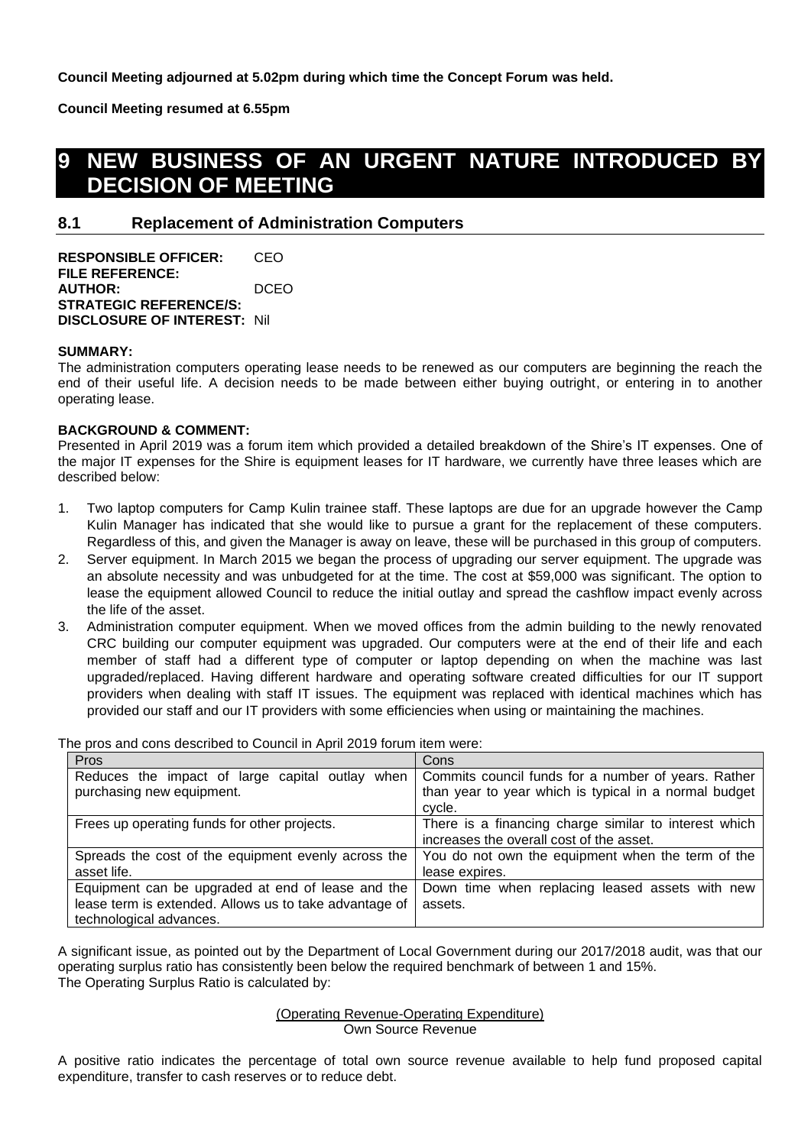**Council Meeting adjourned at 5.02pm during which time the Concept Forum was held.**

**Council Meeting resumed at 6.55pm**

# **9 NEW BUSINESS OF AN URGENT NATURE INTRODUCED BY DECISION OF MEETING**

# **8.1 Replacement of Administration Computers**

**RESPONSIBLE OFFICER:** CEO **FILE REFERENCE: AUTHOR:** DCEO **STRATEGIC REFERENCE/S: DISCLOSURE OF INTEREST:** Nil

### **SUMMARY:**

The administration computers operating lease needs to be renewed as our computers are beginning the reach the end of their useful life. A decision needs to be made between either buying outright, or entering in to another operating lease.

#### **BACKGROUND & COMMENT:**

Presented in April 2019 was a forum item which provided a detailed breakdown of the Shire's IT expenses. One of the major IT expenses for the Shire is equipment leases for IT hardware, we currently have three leases which are described below:

- 1. Two laptop computers for Camp Kulin trainee staff. These laptops are due for an upgrade however the Camp Kulin Manager has indicated that she would like to pursue a grant for the replacement of these computers. Regardless of this, and given the Manager is away on leave, these will be purchased in this group of computers.
- 2. Server equipment. In March 2015 we began the process of upgrading our server equipment. The upgrade was an absolute necessity and was unbudgeted for at the time. The cost at \$59,000 was significant. The option to lease the equipment allowed Council to reduce the initial outlay and spread the cashflow impact evenly across the life of the asset.
- 3. Administration computer equipment. When we moved offices from the admin building to the newly renovated CRC building our computer equipment was upgraded. Our computers were at the end of their life and each member of staff had a different type of computer or laptop depending on when the machine was last upgraded/replaced. Having different hardware and operating software created difficulties for our IT support providers when dealing with staff IT issues. The equipment was replaced with identical machines which has provided our staff and our IT providers with some efficiencies when using or maintaining the machines.

The pros and cons described to Council in April 2019 forum item were:

| Pros                                                   | Cons                                                  |
|--------------------------------------------------------|-------------------------------------------------------|
| Reduces the impact of large capital outlay when        | Commits council funds for a number of years. Rather   |
| purchasing new equipment.                              | than year to year which is typical in a normal budget |
|                                                        | cycle.                                                |
| Frees up operating funds for other projects.           | There is a financing charge similar to interest which |
|                                                        | increases the overall cost of the asset.              |
| Spreads the cost of the equipment evenly across the    | You do not own the equipment when the term of the     |
| asset life.                                            | lease expires.                                        |
| Equipment can be upgraded at end of lease and the      | Down time when replacing leased assets with new       |
| lease term is extended. Allows us to take advantage of | assets.                                               |
| technological advances.                                |                                                       |

A significant issue, as pointed out by the Department of Local Government during our 2017/2018 audit, was that our operating surplus ratio has consistently been below the required benchmark of between 1 and 15%. The Operating Surplus Ratio is calculated by:

#### (Operating Revenue-Operating Expenditure) Own Source Revenue

A positive ratio indicates the percentage of total own source revenue available to help fund proposed capital expenditure, transfer to cash reserves or to reduce debt.